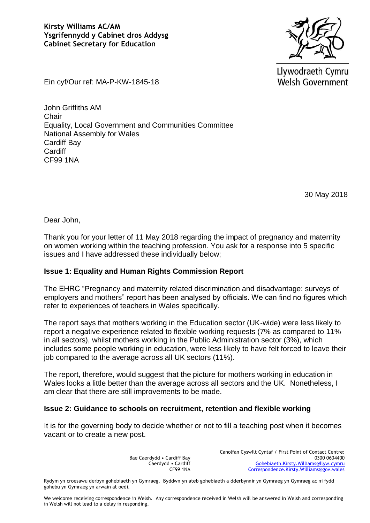

Llywodraeth Cymru **Welsh Government** 

Ein cyf/Our ref: MA-P-KW-1845-18

John Griffiths AM **Chair** Equality, Local Government and Communities Committee National Assembly for Wales Cardiff Bay **Cardiff** CF99 1NA

30 May 2018

Dear John,

Thank you for your letter of 11 May 2018 regarding the impact of pregnancy and maternity on women working within the teaching profession. You ask for a response into 5 specific issues and I have addressed these individually below;

## **Issue 1: Equality and Human Rights Commission Report**

The EHRC "Pregnancy and maternity related discrimination and disadvantage: surveys of employers and mothers" report has been analysed by officials. We can find no figures which refer to experiences of teachers in Wales specifically.

The report says that mothers working in the Education sector (UK-wide) were less likely to report a negative experience related to flexible working requests (7% as compared to 11% in all sectors), whilst mothers working in the Public Administration sector (3%), which includes some people working in education, were less likely to have felt forced to leave their job compared to the average across all UK sectors (11%).

The report, therefore, would suggest that the picture for mothers working in education in Wales looks a little better than the average across all sectors and the UK. Nonetheless, I am clear that there are still improvements to be made.

## **Issue 2: Guidance to schools on recruitment, retention and flexible working**

It is for the governing body to decide whether or not to fill a teaching post when it becomes vacant or to create a new post.

> Bae Caerdydd • Cardiff Bay Caerdydd • Cardiff CF99 1NA

Canolfan Cyswllt Cyntaf / First Point of Contact Centre: 0300 0604400 [Gohebiaeth.Kirsty.Williams@llyw.cymru](mailto:Gohebiaeth.Kirsty.Williams@llyw.cymru)  [Correspondence.Kirsty.Williams@gov.wales](mailto:Correspondence.Kirsty.Williams@gov.wales)

Rydym yn croesawu derbyn gohebiaeth yn Gymraeg. Byddwn yn ateb gohebiaeth a dderbynnir yn Gymraeg yn Gymraeg ac ni fydd gohebu yn Gymraeg yn arwain at oedi.

We welcome receiving correspondence in Welsh. Any correspondence received in Welsh will be answered in Welsh and corresponding in Welsh will not lead to a delay in responding.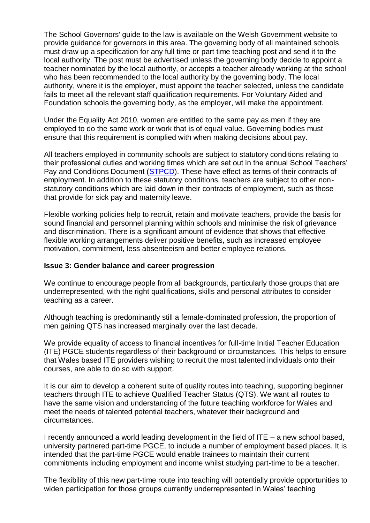The School Governors' guide to the law is available on the Welsh Government website to provide guidance for governors in this area. The governing body of all maintained schools must draw up a specification for any full time or part time teaching post and send it to the local authority. The post must be advertised unless the governing body decide to appoint a teacher nominated by the local authority, or accepts a teacher already working at the school who has been recommended to the local authority by the governing body. The local authority, where it is the employer, must appoint the teacher selected, unless the candidate fails to meet all the relevant staff qualification requirements. For Voluntary Aided and Foundation schools the governing body, as the employer, will make the appointment.

Under the Equality Act 2010, women are entitled to the same pay as men if they are employed to do the same work or work that is of equal value. Governing bodies must ensure that this requirement is complied with when making decisions about pay.

All teachers employed in community schools are subject to statutory conditions relating to their professional duties and working times which are set out in the annual School Teachers' Pay and Conditions Document [\(STPCD\)](http://www.teachernet.gov.uk/docbank/index.cfm?id=11807). These have effect as terms of their contracts of employment. In addition to these statutory conditions, teachers are subject to other nonstatutory conditions which are laid down in their contracts of employment, such as those that provide for sick pay and maternity leave.

Flexible working policies help to recruit, retain and motivate teachers, provide the basis for sound financial and personnel planning within schools and minimise the risk of grievance and discrimination. There is a significant amount of evidence that shows that effective flexible working arrangements deliver positive benefits, such as increased employee motivation, commitment, less absenteeism and better employee relations.

## **Issue 3: Gender balance and career progression**

We continue to encourage people from all backgrounds, particularly those groups that are underrepresented, with the right qualifications, skills and personal attributes to consider teaching as a career.

Although teaching is predominantly still a female-dominated profession, the proportion of men gaining QTS has increased marginally over the last decade.

We provide equality of access to financial incentives for full-time Initial Teacher Education (ITE) PGCE students regardless of their background or circumstances. This helps to ensure that Wales based ITE providers wishing to recruit the most talented individuals onto their courses, are able to do so with support.

It is our aim to develop a coherent suite of quality routes into teaching, supporting beginner teachers through ITE to achieve Qualified Teacher Status (QTS). We want all routes to have the same vision and understanding of the future teaching workforce for Wales and meet the needs of talented potential teachers, whatever their background and circumstances.

I recently announced a world leading development in the field of ITE – a new school based, university partnered part-time PGCE, to include a number of employment based places. It is intended that the part-time PGCE would enable trainees to maintain their current commitments including employment and income whilst studying part-time to be a teacher.

The flexibility of this new part-time route into teaching will potentially provide opportunities to widen participation for those groups currently underrepresented in Wales' teaching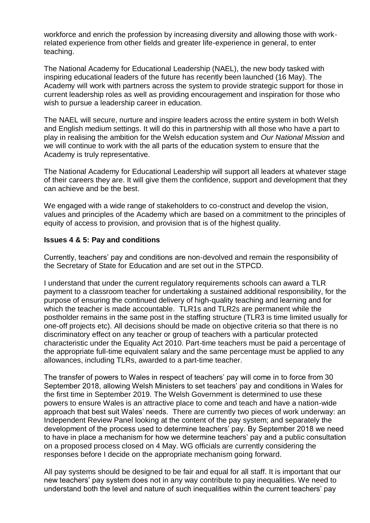workforce and enrich the profession by increasing diversity and allowing those with workrelated experience from other fields and greater life-experience in general, to enter teaching.

The National Academy for Educational Leadership (NAEL), the new body tasked with inspiring educational leaders of the future has recently been launched (16 May). The Academy will work with partners across the system to provide strategic support for those in current leadership roles as well as providing encouragement and inspiration for those who wish to pursue a leadership career in education.

The NAEL will secure, nurture and inspire leaders across the entire system in both Welsh and English medium settings. It will do this in partnership with all those who have a part to play in realising the ambition for the Welsh education system and *Our National Mission* and we will continue to work with the all parts of the education system to ensure that the Academy is truly representative.

The National Academy for Educational Leadership will support all leaders at whatever stage of their careers they are. It will give them the confidence, support and development that they can achieve and be the best.

We engaged with a wide range of stakeholders to co-construct and develop the vision, values and principles of the Academy which are based on a commitment to the principles of equity of access to provision, and provision that is of the highest quality.

## **Issues 4 & 5: Pay and conditions**

Currently, teachers' pay and conditions are non-devolved and remain the responsibility of the Secretary of State for Education and are set out in the STPCD.

I understand that under the current regulatory requirements schools can award a TLR payment to a classroom teacher for undertaking a sustained additional responsibility, for the purpose of ensuring the continued delivery of high-quality teaching and learning and for which the teacher is made accountable. TLR1s and TLR2s are permanent while the postholder remains in the same post in the staffing structure (TLR3 is time limited usually for one-off projects etc). All decisions should be made on objective criteria so that there is no discriminatory effect on any teacher or group of teachers with a particular protected characteristic under the Equality Act 2010. Part-time teachers must be paid a percentage of the appropriate full-time equivalent salary and the same percentage must be applied to any allowances, including TLRs, awarded to a part-time teacher.

The transfer of powers to Wales in respect of teachers' pay will come in to force from 30 September 2018, allowing Welsh Ministers to set teachers' pay and conditions in Wales for the first time in September 2019. The Welsh Government is determined to use these powers to ensure Wales is an attractive place to come and teach and have a nation-wide approach that best suit Wales' needs. There are currently two pieces of work underway: an Independent Review Panel looking at the content of the pay system; and separately the development of the process used to determine teachers' pay. By September 2018 we need to have in place a mechanism for how we determine teachers' pay and a public consultation on a proposed process closed on 4 May. WG officials are currently considering the responses before I decide on the appropriate mechanism going forward.

All pay systems should be designed to be fair and equal for all staff. It is important that our new teachers' pay system does not in any way contribute to pay inequalities. We need to understand both the level and nature of such inequalities within the current teachers' pay